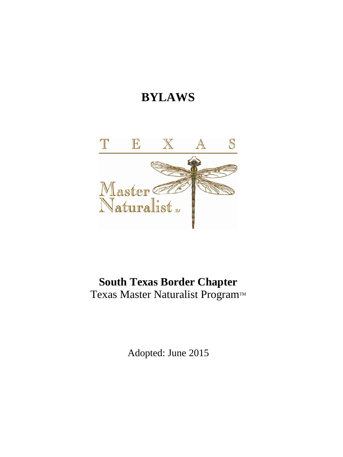# **BYLAWS**



# **South Texas Border Chapter** Texas Master Naturalist Program™

Adopted: June 2015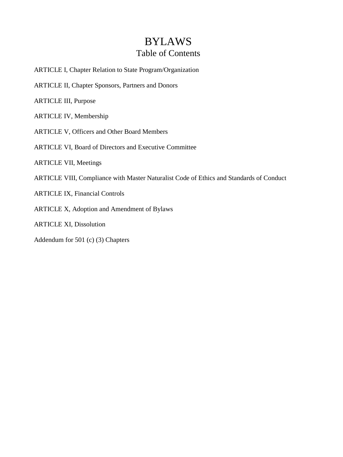# BYLAWS Table of Contents

ARTICLE I, Chapter Relation to State Program/Organization

ARTICLE II, Chapter Sponsors, Partners and Donors

ARTICLE III, Purpose

ARTICLE IV, Membership

ARTICLE V, Officers and Other Board Members

ARTICLE VI, Board of Directors and Executive Committee

ARTICLE VII, Meetings

- ARTICLE VIII, Compliance with Master Naturalist Code of Ethics and Standards of Conduct
- ARTICLE IX, Financial Controls

ARTICLE X, Adoption and Amendment of Bylaws

ARTICLE XI, Dissolution

Addendum for 501 (c) (3) Chapters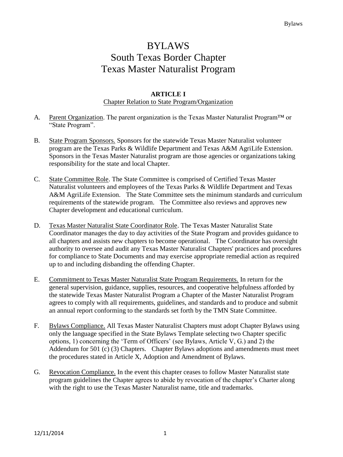# BYLAWS South Texas Border Chapter Texas Master Naturalist Program

# **ARTICLE I** Chapter Relation to State Program/Organization

- A. Parent Organization. The parent organization is the Texas Master Naturalist Program™ or "State Program".
- B. State Program Sponsors. Sponsors for the statewide Texas Master Naturalist volunteer program are the Texas Parks & Wildlife Department and Texas A&M AgriLife Extension. Sponsors in the Texas Master Naturalist program are those agencies or organizations taking responsibility for the state and local Chapter.
- C. State Committee Role. The State Committee is comprised of Certified Texas Master Naturalist volunteers and employees of the Texas Parks & Wildlife Department and Texas A&M AgriLife Extension. The State Committee sets the minimum standards and curriculum requirements of the statewide program. The Committee also reviews and approves new Chapter development and educational curriculum.
- D. Texas Master Naturalist State Coordinator Role. The Texas Master Naturalist State Coordinator manages the day to day activities of the State Program and provides guidance to all chapters and assists new chapters to become operational. The Coordinator has oversight authority to oversee and audit any Texas Master Naturalist Chapters' practices and procedures for compliance to State Documents and may exercise appropriate remedial action as required up to and including disbanding the offending Chapter.
- E. Commitment to Texas Master Naturalist State Program Requirements. In return for the general supervision, guidance, supplies, resources, and cooperative helpfulness afforded by the statewide Texas Master Naturalist Program a Chapter of the Master Naturalist Program agrees to comply with all requirements, guidelines, and standards and to produce and submit an annual report conforming to the standards set forth by the TMN State Committee.
- F. Bylaws Compliance. All Texas Master Naturalist Chapters must adopt Chapter Bylaws using only the language specified in the State Bylaws Template selecting two Chapter specific options, 1) concerning the 'Term of Officers' (see Bylaws, Article V, G.) and 2) the Addendum for 501 (c) (3) Chapters. Chapter Bylaws adoptions and amendments must meet the procedures stated in Article X, Adoption and Amendment of Bylaws.
- G. Revocation Compliance. In the event this chapter ceases to follow Master Naturalist state program guidelines the Chapter agrees to abide by revocation of the chapter's Charter along with the right to use the Texas Master Naturalist name, title and trademarks.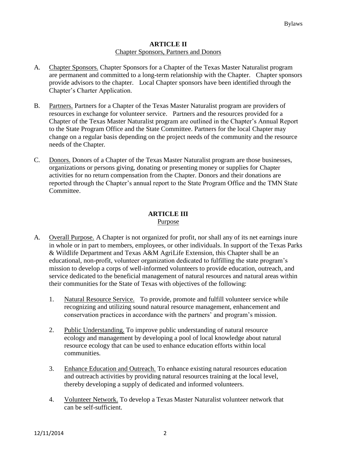#### **ARTICLE II** Chapter Sponsors, Partners and Donors

- A. Chapter Sponsors. Chapter Sponsors for a Chapter of the Texas Master Naturalist program are permanent and committed to a long-term relationship with the Chapter. Chapter sponsors provide advisors to the chapter. Local Chapter sponsors have been identified through the Chapter's Charter Application.
- B. Partners. Partners for a Chapter of the Texas Master Naturalist program are providers of resources in exchange for volunteer service. Partners and the resources provided for a Chapter of the Texas Master Naturalist program are outlined in the Chapter's Annual Report to the State Program Office and the State Committee. Partners for the local Chapter may change on a regular basis depending on the project needs of the community and the resource needs of the Chapter.
- C. Donors. Donors of a Chapter of the Texas Master Naturalist program are those businesses, organizations or persons giving, donating or presenting money or supplies for Chapter activities for no return compensation from the Chapter. Donors and their donations are reported through the Chapter's annual report to the State Program Office and the TMN State Committee.

## **ARTICLE III** Purpose

- A. Overall Purpose. A Chapter is not organized for profit, nor shall any of its net earnings inure in whole or in part to members, employees, or other individuals. In support of the Texas Parks & Wildlife Department and Texas A&M AgriLife Extension, this Chapter shall be an educational, non-profit, volunteer organization dedicated to fulfilling the state program's mission to develop a corps of well-informed volunteers to provide education, outreach, and service dedicated to the beneficial management of natural resources and natural areas within their communities for the State of Texas with objectives of the following:
	- 1. Natural Resource Service. To provide, promote and fulfill volunteer service while recognizing and utilizing sound natural resource management, enhancement and conservation practices in accordance with the partners' and program's mission.
	- 2. Public Understanding. To improve public understanding of natural resource ecology and management by developing a pool of local knowledge about natural resource ecology that can be used to enhance education efforts within local communities.
	- 3. Enhance Education and Outreach. To enhance existing natural resources education and outreach activities by providing natural resources training at the local level, thereby developing a supply of dedicated and informed volunteers.
	- 4. Volunteer Network. To develop a Texas Master Naturalist volunteer network that can be self-sufficient.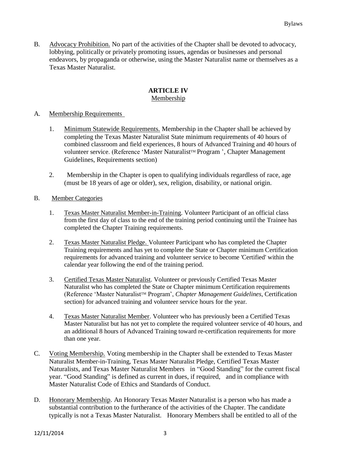B. Advocacy Prohibition. No part of the activities of the Chapter shall be devoted to advocacy, lobbying, politically or privately promoting issues, agendas or businesses and personal endeavors, by propaganda or otherwise, using the Master Naturalist name or themselves as a Texas Master Naturalist.

#### **ARTICLE IV** Membership

#### A. Membership Requirements

- 1. Minimum Statewide Requirements. Membership in the Chapter shall be achieved by completing the Texas Master Naturalist State minimum requirements of 40 hours of combined classroom and field experiences, 8 hours of Advanced Training and 40 hours of volunteer service. (Reference 'Master Naturalist™ Program ', Chapter Management Guidelines, Requirements section)
- 2. Membership in the Chapter is open to qualifying individuals regardless of race, age (must be 18 years of age or older), sex, religion, disability, or national origin.
- B. Member Categories
	- 1. Texas Master Naturalist Member-in-Training. Volunteer Participant of an official class from the first day of class to the end of the training period continuing until the Trainee has completed the Chapter Training requirements.
	- 2. Texas Master Naturalist Pledge. Volunteer Participant who has completed the Chapter Training requirements and has yet to complete the State or Chapter minimum Certification requirements for advanced training and volunteer service to become 'Certified' within the calendar year following the end of the training period.
	- 3. Certified Texas Master Naturalist. Volunteer or previously Certified Texas Master Naturalist who has completed the State or Chapter minimum Certification requirements (Reference 'Master NaturalistTM Program', *Chapter Management Guidelines*, Certification section) for advanced training and volunteer service hours for the year.
	- 4. Texas Master Naturalist Member. Volunteer who has previously been a Certified Texas Master Naturalist but has not yet to complete the required volunteer service of 40 hours, and an additional 8 hours of Advanced Training toward re-certification requirements for more than one year.
- C. Voting Membership. Voting membership in the Chapter shall be extended to Texas Master Naturalist Member-in-Training, Texas Master Naturalist Pledge, Certified Texas Master Naturalists, and Texas Master Naturalist Members in "Good Standing" for the current fiscal year. "Good Standing" is defined as current in dues, if required, and in compliance with Master Naturalist Code of Ethics and Standards of Conduct.
- D. Honorary Membership. An Honorary Texas Master Naturalist is a person who has made a substantial contribution to the furtherance of the activities of the Chapter. The candidate typically is not a Texas Master Naturalist. Honorary Members shall be entitled to all of the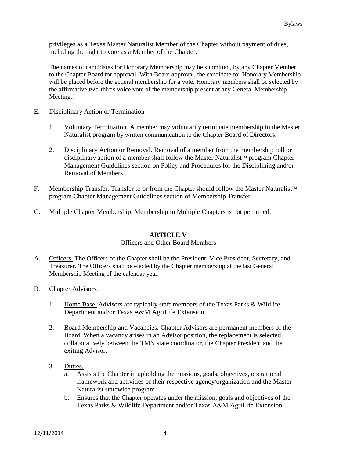privileges as a Texas Master Naturalist Member of the Chapter without payment of dues, including the right to vote as a Member of the Chapter.

The names of candidates for Honorary Membership may be submitted, by any Chapter Member, to the Chapter Board for approval. With Board approval, the candidate for Honorary Membership will be placed before the general membership for a vote. Honorary members shall be selected by the affirmative two-thirds voice vote of the membership present at any General Membership Meeting..

- E. Disciplinary Action or Termination
	- 1. Voluntary Termination. A member may voluntarily terminate membership in the Master Naturalist program by written communication to the Chapter Board of Directors.
	- 2. Disciplinary Action or Removal. Removal of a member from the membership roll or disciplinary action of a member shall follow the Master Naturalist<sup>TM</sup> program Chapter Management Guidelines section on Policy and Procedures for the Disciplining and/or Removal of Members.
- F. Membership Transfer. Transfer to or from the Chapter should follow the Master Naturalist<sup>TM</sup> program Chapter Management Guidelines section of Membership Transfer.
- G. Multiple Chapter Membership. Membership in Multiple Chapters is not permitted.

# **ARTICLE V**

# Officers and Other Board Members

- A. Officers. The Officers of the Chapter shall be the President, Vice President, Secretary, and Treasurer. The Officers shall be elected by the Chapter membership at the last General Membership Meeting of the calendar year.
- B. Chapter Advisors.
	- 1. Home Base. Advisors are typically staff members of the Texas Parks & Wildlife Department and/or Texas A&M AgriLife Extension.
	- 2. Board Membership and Vacancies. Chapter Advisors are permanent members of the Board. When a vacancy arises in an Advisor position, the replacement is selected collaboratively between the TMN state coordinator, the Chapter President and the exiting Advisor.
	- 3. Duties.
		- a. Assists the Chapter in upholding the missions, goals, objectives, operational framework and activities of their respective agency/organization and the Master Naturalist statewide program.
		- b. Ensures that the Chapter operates under the mission, goals and objectives of the Texas Parks & Wildlife Department and/or Texas A&M AgriLife Extension.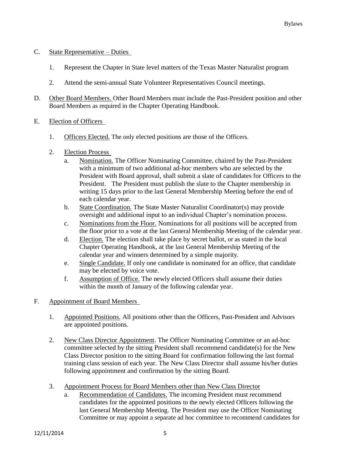- C. State Representative Duties
	- 1. Represent the Chapter in State level matters of the Texas Master Naturalist program
	- 2. Attend the semi-annual State Volunteer Representatives Council meetings.
- D. Other Board Members. Other Board Members must include the Past-President position and other Board Members as required in the Chapter Operating Handbook.
- E. Election of Officers
	- 1. Officers Elected. The only elected positions are those of the Officers.
	- 2. Election Process
		- a. Nomination. The Officer Nominating Committee, chaired by the Past-President with a minimum of two additional ad-hoc members who are selected by the President with Board approval, shall submit a slate of candidates for Officers to the President. The President must publish the slate to the Chapter membership in writing 15 days prior to the last General Membership Meeting before the end of each calendar year.
		- b. State Coordination. The State Master Naturalist Coordinator(s) may provide oversight and additional input to an individual Chapter's nomination process.
		- c. Nominations from the Floor. Nominations for all positions will be accepted from the floor prior to a vote at the last General Membership Meeting of the calendar year.
		- d. Election. The election shall take place by secret ballot, or as stated in the local Chapter Operating Handbook, at the last General Membership Meeting of the calendar year and winners determined by a simple majority.
		- e. Single Candidate. If only one candidate is nominated for an office, that candidate may be elected by voice vote.
		- f. Assumption of Office. The newly elected Officers shall assume their duties within the month of January of the following calendar year.
- F. Appointment of Board Members
	- 1. Appointed Positions. All positions other than the Officers, Past-President and Advisors are appointed positions.
	- 2. New Class Director Appointment. The Officer Nominating Committee or an ad-hoc committee selected by the sitting President shall recommend candidate(s) for the New Class Director position to the sitting Board for confirmation following the last formal training class session of each year. The New Class Director shall assume his/her duties following appointment and confirmation by the sitting Board.
	- 3. Appointment Process for Board Members other than New Class Director
		- Recommendation of Candidates. The incoming President must recommend candidates for the appointed positions to the newly elected Officers following the last General Membership Meeting. The President may use the Officer Nominating Committee or may appoint a separate ad hoc committee to recommend candidates for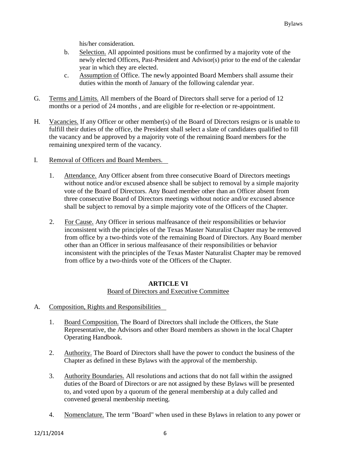his/her consideration.

- b. Selection. All appointed positions must be confirmed by a majority vote of the newly elected Officers, Past-President and Advisor(s) prior to the end of the calendar year in which they are elected.
- c. Assumption of Office. The newly appointed Board Members shall assume their duties within the month of January of the following calendar year.
- G. Terms and Limits. All members of the Board of Directors shall serve for a period of 12 months or a period of 24 months , and are eligible for re-election or re-appointment.
- H. Vacancies. If any Officer or other member(s) of the Board of Directors resigns or is unable to fulfill their duties of the office, the President shall select a slate of candidates qualified to fill the vacancy and be approved by a majority vote of the remaining Board members for the remaining unexpired term of the vacancy.
- I. Removal of Officers and Board Members.
	- 1. Attendance. Any Officer absent from three consecutive Board of Directors meetings without notice and/or excused absence shall be subject to removal by a simple majority vote of the Board of Directors. Any Board member other than an Officer absent from three consecutive Board of Directors meetings without notice and/or excused absence shall be subject to removal by a simple majority vote of the Officers of the Chapter.
	- 2. For Cause. Any Officer in serious malfeasance of their responsibilities or behavior inconsistent with the principles of the Texas Master Naturalist Chapter may be removed from office by a two-thirds vote of the remaining Board of Directors. Any Board member other than an Officer in serious malfeasance of their responsibilities or behavior inconsistent with the principles of the Texas Master Naturalist Chapter may be removed from office by a two-thirds vote of the Officers of the Chapter.

#### **ARTICLE VI** Board of Directors and Executive Committee

- A. Composition, Rights and Responsibilities
	- 1. Board Composition. The Board of Directors shall include the Officers, the State Representative, the Advisors and other Board members as shown in the local Chapter Operating Handbook.
	- 2. Authority. The Board of Directors shall have the power to conduct the business of the Chapter as defined in these Bylaws with the approval of the membership.
	- 3. Authority Boundaries. All resolutions and actions that do not fall within the assigned duties of the Board of Directors or are not assigned by these Bylaws will be presented to, and voted upon by a quorum of the general membership at a duly called and convened general membership meeting.
	- 4. Nomenclature. The term "Board" when used in these Bylaws in relation to any power or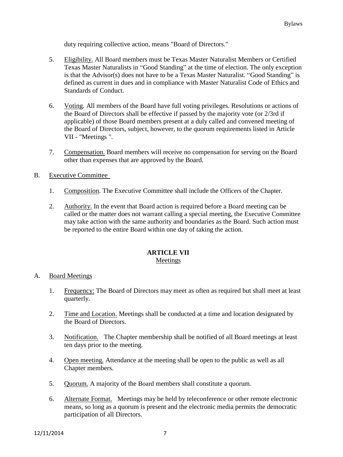duty requiring collective action, means "Board of Directors."

- 5. Eligibility. All Board members must be Texas Master Naturalist Members or Certified Texas Master Naturalists in "Good Standing" at the time of election. The only exception is that the Advisor(s) does not have to be a Texas Master Naturalist. "Good Standing" is defined as current in dues and in compliance with Master Naturalist Code of Ethics and Standards of Conduct.
- 6. Voting. All members of the Board have full voting privileges. Resolutions or actions of the Board of Directors shall be effective if passed by the majority vote (or 2/3rd if applicable) of those Board members present at a duly called and convened meeting of the Board of Directors, subject, however, to the quorum requirements listed in Article VII - "Meetings ".
- 7. Compensation. Board members will receive no compensation for serving on the Board other than expenses that are approved by the Board.
- B. Executive Committee
	- 1. Composition. The Executive Committee shall include the Officers of the Chapter.
	- 2. Authority. In the event that Board action is required before a Board meeting can be called or the matter does not warrant calling a special meeting, the Executive Committee may take action with the same authority and boundaries as the Board. Such action must be reported to the entire Board within one day of taking the action.

# **ARTICLE VII** Meetings

### A. Board Meetings

- 1. Frequency: The Board of Directors may meet as often as required but shall meet at least quarterly.
- 2. Time and Location. Meetings shall be conducted at a time and location designated by the Board of Directors.
- 3. Notification. The Chapter membership shall be notified of all Board meetings at least ten days prior to the meeting.
- 4. Open meeting. Attendance at the meeting shall be open to the public as well as all Chapter members.
- 5. Quorum. A majority of the Board members shall constitute a quorum.
- 6. Alternate Format. Meetings may be held by teleconference or other remote electronic means, so long as a quorum is present and the electronic media permits the democratic participation of all Directors.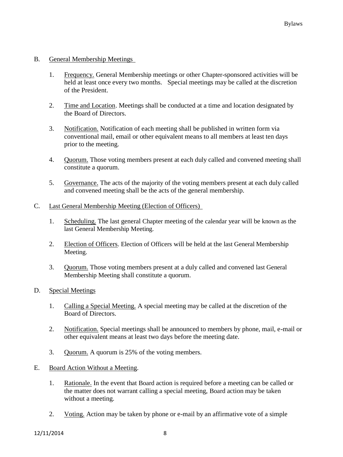### B. General Membership Meetings

- 1. Frequency. General Membership meetings or other Chapter-sponsored activities will be held at least once every two months. Special meetings may be called at the discretion of the President.
- 2. Time and Location. Meetings shall be conducted at a time and location designated by the Board of Directors.
- 3. Notification. Notification of each meeting shall be published in written form via conventional mail, email or other equivalent means to all members at least ten days prior to the meeting.
- 4. Quorum. Those voting members present at each duly called and convened meeting shall constitute a quorum.
- 5. Governance. The acts of the majority of the voting members present at each duly called and convened meeting shall be the acts of the general membership.
- C. Last General Membership Meeting (Election of Officers)
	- 1. Scheduling. The last general Chapter meeting of the calendar year will be known as the last General Membership Meeting.
	- 2. Election of Officers. Election of Officers will be held at the last General Membership Meeting.
	- 3. Quorum. Those voting members present at a duly called and convened last General Membership Meeting shall constitute a quorum.

### D. Special Meetings

- 1. Calling a Special Meeting. A special meeting may be called at the discretion of the Board of Directors.
- 2. Notification. Special meetings shall be announced to members by phone, mail, e-mail or other equivalent means at least two days before the meeting date.
- 3. Quorum. A quorum is 25% of the voting members.
- E. Board Action Without a Meeting.
	- 1. Rationale. In the event that Board action is required before a meeting can be called or the matter does not warrant calling a special meeting, Board action may be taken without a meeting.
	- 2. Voting. Action may be taken by phone or e-mail by an affirmative vote of a simple

12/11/2014 8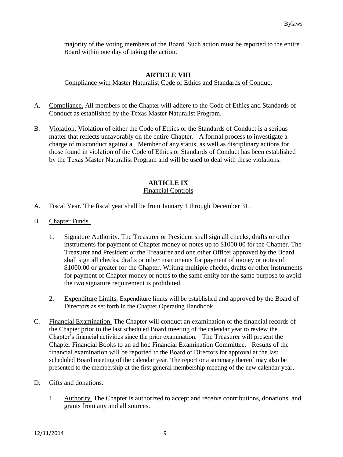majority of the voting members of the Board. Such action must be reported to the entire Board within one day of taking the action.

# **ARTICLE VIII**

Compliance with Master Naturalist Code of Ethics and Standards of Conduct

- A. Compliance. All members of the Chapter will adhere to the Code of Ethics and Standards of Conduct as established by the Texas Master Naturalist Program.
- B. Violation. Violation of either the Code of Ethics or the Standards of Conduct is a serious matter that reflects unfavorably on the entire Chapter. A formal process to investigate a charge of misconduct against a Member of any status, as well as disciplinary actions for those found in violation of the Code of Ethics or Standards of Conduct has been established by the Texas Master Naturalist Program and will be used to deal with these violations.

# **ARTICLE IX**

### Financial Controls

- A. Fiscal Year. The fiscal year shall be from January 1 through December 31.
- B. Chapter Funds
	- 1. Signature Authority. The Treasurer or President shall sign all checks, drafts or other instruments for payment of Chapter money or notes up to \$1000.00 for the Chapter. The Treasurer and President or the Treasurer and one other Officer approved by the Board shall sign all checks, drafts or other instruments for payment of money or notes of \$1000.00 or greater for the Chapter. Writing multiple checks, drafts or other instruments for payment of Chapter money or notes to the same entity for the same purpose to avoid the two signature requirement is prohibited.
	- 2. Expenditure Limits. Expenditure limits will be established and approved by the Board of Directors as set forth in the Chapter Operating Handbook.
- C. Financial Examination. The Chapter will conduct an examination of the financial records of the Chapter prior to the last scheduled Board meeting of the calendar year to review the Chapter's financial activities since the prior examination. The Treasurer will present the Chapter Financial Books to an ad hoc Financial Examination Committee. Results of the financial examination will be reported to the Board of Directors for approval at the last scheduled Board meeting of the calendar year. The report or a summary thereof may also be presented to the membership at the first general membership meeting of the new calendar year.
- D. Gifts and donations.
	- 1. Authority. The Chapter is authorized to accept and receive contributions, donations, and grants from any and all sources.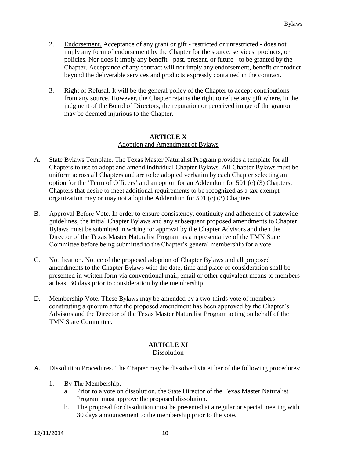- 2. Endorsement. Acceptance of any grant or gift restricted or unrestricted does not imply any form of endorsement by the Chapter for the source, services, products, or policies. Nor does it imply any benefit - past, present, or future - to be granted by the Chapter. Acceptance of any contract will not imply any endorsement, benefit or product beyond the deliverable services and products expressly contained in the contract.
- 3. Right of Refusal. It will be the general policy of the Chapter to accept contributions from any source. However, the Chapter retains the right to refuse any gift where, in the judgment of the Board of Directors, the reputation or perceived image of the grantor may be deemed injurious to the Chapter.

### **ARTICLE X** Adoption and Amendment of Bylaws

- A. State Bylaws Template. The Texas Master Naturalist Program provides a template for all Chapters to use to adopt and amend individual Chapter Bylaws. All Chapter Bylaws must be uniform across all Chapters and are to be adopted verbatim by each Chapter selecting an option for the 'Term of Officers' and an option for an Addendum for 501 (c) (3) Chapters. Chapters that desire to meet additional requirements to be recognized as a tax-exempt organization may or may not adopt the Addendum for 501 (c) (3) Chapters.
- B. Approval Before Vote. In order to ensure consistency, continuity and adherence of statewide guidelines, the initial Chapter Bylaws and any subsequent proposed amendments to Chapter Bylaws must be submitted in writing for approval by the Chapter Advisors and then the Director of the Texas Master Naturalist Program as a representative of the TMN State Committee before being submitted to the Chapter's general membership for a vote.
- C. Notification. Notice of the proposed adoption of Chapter Bylaws and all proposed amendments to the Chapter Bylaws with the date, time and place of consideration shall be presented in written form via conventional mail, email or other equivalent means to members at least 30 days prior to consideration by the membership.
- D. Membership Vote. These Bylaws may be amended by a two-thirds vote of members constituting a quorum after the proposed amendment has been approved by the Chapter's Advisors and the Director of the Texas Master Naturalist Program acting on behalf of the TMN State Committee.

#### **ARTICLE XI Dissolution**

- A. Dissolution Procedures. The Chapter may be dissolved via either of the following procedures:
	- 1. By The Membership.
		- a. Prior to a vote on dissolution, the State Director of the Texas Master Naturalist Program must approve the proposed dissolution.
		- b. The proposal for dissolution must be presented at a regular or special meeting with 30 days announcement to the membership prior to the vote.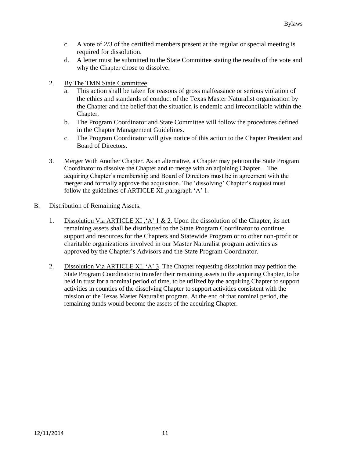- c. A vote of 2/3 of the certified members present at the regular or special meeting is required for dissolution.
- d. A letter must be submitted to the State Committee stating the results of the vote and why the Chapter chose to dissolve.
- 2. By The TMN State Committee.
	- a. This action shall be taken for reasons of gross malfeasance or serious violation of the ethics and standards of conduct of the Texas Master Naturalist organization by the Chapter and the belief that the situation is endemic and irreconcilable within the Chapter.
	- b. The Program Coordinator and State Committee will follow the procedures defined in the Chapter Management Guidelines.
	- c. The Program Coordinator will give notice of this action to the Chapter President and Board of Directors.
- 3. Merger With Another Chapter. As an alternative, a Chapter may petition the State Program Coordinator to dissolve the Chapter and to merge with an adjoining Chapter. The acquiring Chapter's membership and Board of Directors must be in agreement with the merger and formally approve the acquisition. The 'dissolving' Chapter's request must follow the guidelines of ARTICLE XI ,paragraph 'A' 1.
- B. Distribution of Remaining Assets.
	- 1. Dissolution Via ARTICLE XI, 'A'  $1 \& 2$ . Upon the dissolution of the Chapter, its net remaining assets shall be distributed to the State Program Coordinator to continue support and resources for the Chapters and Statewide Program or to other non-profit or charitable organizations involved in our Master Naturalist program activities as approved by the Chapter's Advisors and the State Program Coordinator.
	- 2. Dissolution Via ARTICLE XI, 'A' 3. The Chapter requesting dissolution may petition the State Program Coordinator to transfer their remaining assets to the acquiring Chapter, to be held in trust for a nominal period of time, to be utilized by the acquiring Chapter to support activities in counties of the dissolving Chapter to support activities consistent with the mission of the Texas Master Naturalist program. At the end of that nominal period, the remaining funds would become the assets of the acquiring Chapter.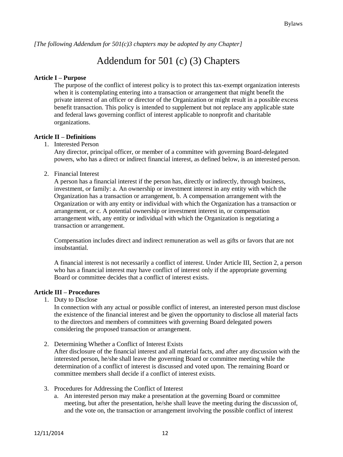*[The following Addendum for 501(c)3 chapters may be adopted by any Chapter]*

# Addendum for 501 (c) (3) Chapters

#### **Article I – Purpose**

The purpose of the conflict of interest policy is to protect this tax-exempt organization interests when it is contemplating entering into a transaction or arrangement that might benefit the private interest of an officer or director of the Organization or might result in a possible excess benefit transaction. This policy is intended to supplement but not replace any applicable state and federal laws governing conflict of interest applicable to nonprofit and charitable organizations.

#### **Article II – Definitions**

1. Interested Person

Any director, principal officer, or member of a committee with governing Board-delegated powers, who has a direct or indirect financial interest, as defined below, is an interested person.

2. Financial Interest

A person has a financial interest if the person has, directly or indirectly, through business, investment, or family: a. An ownership or investment interest in any entity with which the Organization has a transaction or arrangement, b. A compensation arrangement with the Organization or with any entity or individual with which the Organization has a transaction or arrangement, or c. A potential ownership or investment interest in, or compensation arrangement with, any entity or individual with which the Organization is negotiating a transaction or arrangement.

Compensation includes direct and indirect remuneration as well as gifts or favors that are not insubstantial.

A financial interest is not necessarily a conflict of interest. Under Article III, Section 2, a person who has a financial interest may have conflict of interest only if the appropriate governing Board or committee decides that a conflict of interest exists.

#### **Article III – Procedures**

1. Duty to Disclose

In connection with any actual or possible conflict of interest, an interested person must disclose the existence of the financial interest and be given the opportunity to disclose all material facts to the directors and members of committees with governing Board delegated powers considering the proposed transaction or arrangement.

- 2. Determining Whether a Conflict of Interest Exists After disclosure of the financial interest and all material facts, and after any discussion with the interested person, he/she shall leave the governing Board or committee meeting while the determination of a conflict of interest is discussed and voted upon. The remaining Board or committee members shall decide if a conflict of interest exists.
- 3. Procedures for Addressing the Conflict of Interest
	- a. An interested person may make a presentation at the governing Board or committee meeting, but after the presentation, he/she shall leave the meeting during the discussion of, and the vote on, the transaction or arrangement involving the possible conflict of interest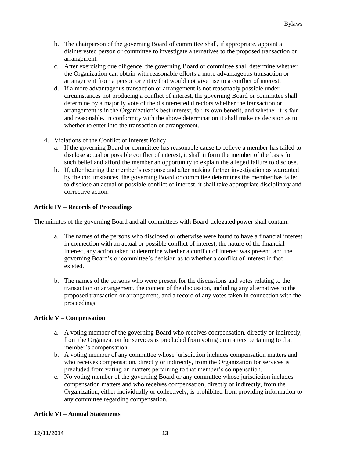- b. The chairperson of the governing Board of committee shall, if appropriate, appoint a disinterested person or committee to investigate alternatives to the proposed transaction or arrangement.
- c. After exercising due diligence, the governing Board or committee shall determine whether the Organization can obtain with reasonable efforts a more advantageous transaction or arrangement from a person or entity that would not give rise to a conflict of interest.
- d. If a more advantageous transaction or arrangement is not reasonably possible under circumstances not producing a conflict of interest, the governing Board or committee shall determine by a majority vote of the disinterested directors whether the transaction or arrangement is in the Organization's best interest, for its own benefit, and whether it is fair and reasonable. In conformity with the above determination it shall make its decision as to whether to enter into the transaction or arrangement.
- 4. Violations of the Conflict of Interest Policy
	- a. If the governing Board or committee has reasonable cause to believe a member has failed to disclose actual or possible conflict of interest, it shall inform the member of the basis for such belief and afford the member an opportunity to explain the alleged failure to disclose.
	- b. If, after hearing the member's response and after making further investigation as warranted by the circumstances, the governing Board or committee determines the member has failed to disclose an actual or possible conflict of interest, it shall take appropriate disciplinary and corrective action.

# **Article IV – Records of Proceedings**

The minutes of the governing Board and all committees with Board-delegated power shall contain:

- a. The names of the persons who disclosed or otherwise were found to have a financial interest in connection with an actual or possible conflict of interest, the nature of the financial interest, any action taken to determine whether a conflict of interest was present, and the governing Board's or committee's decision as to whether a conflict of interest in fact existed.
- b. The names of the persons who were present for the discussions and votes relating to the transaction or arrangement, the content of the discussion, including any alternatives to the proposed transaction or arrangement, and a record of any votes taken in connection with the proceedings.

### **Article V – Compensation**

- a. A voting member of the governing Board who receives compensation, directly or indirectly, from the Organization for services is precluded from voting on matters pertaining to that member's compensation.
- b. A voting member of any committee whose jurisdiction includes compensation matters and who receives compensation, directly or indirectly, from the Organization for services is precluded from voting on matters pertaining to that member's compensation.
- c. No voting member of the governing Board or any committee whose jurisdiction includes compensation matters and who receives compensation, directly or indirectly, from the Organization, either individually or collectively, is prohibited from providing information to any committee regarding compensation.

### **Article VI – Annual Statements**